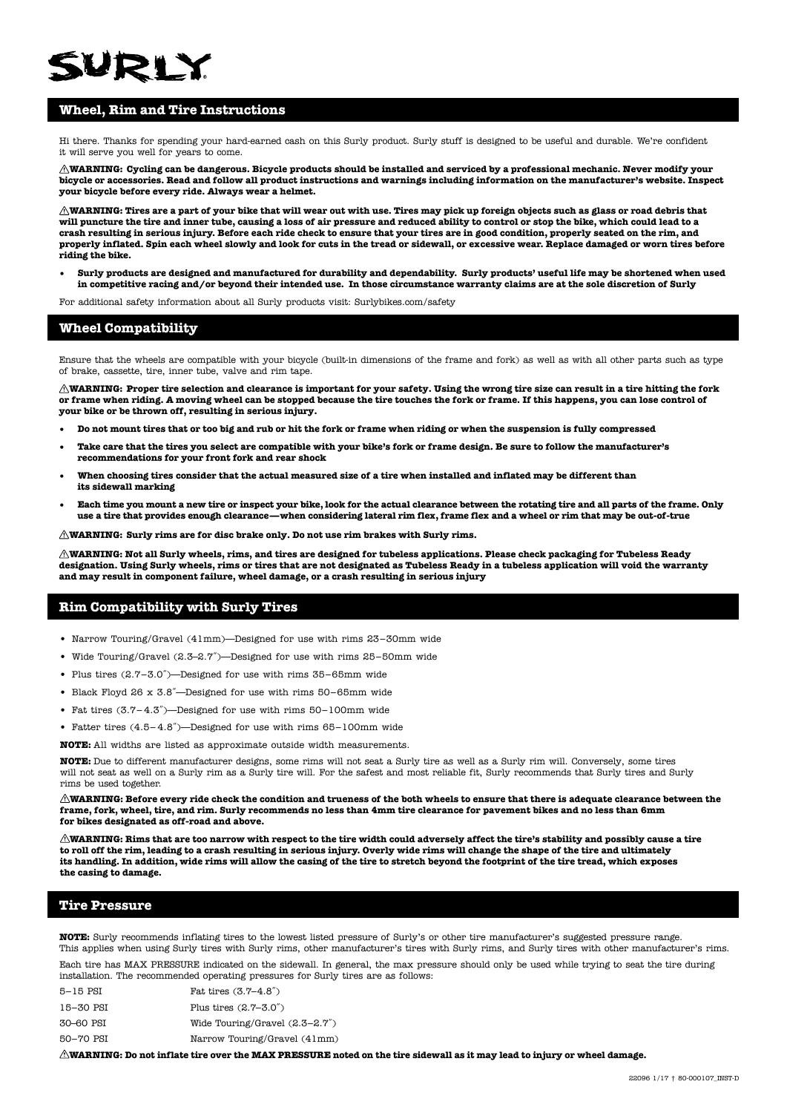# **WDIY**

## **Wheel, Rim and Tire Instructions**

Hi there. Thanks for spending your hard-earned cash on this Surly product. Surly stuff is designed to be useful and durable. We're confident it will serve you well for years to come.

**WARNING: Cycling can be dangerous. Bicycle products should be installed and serviced by a professional mechanic. Never modify your bicycle or accessories. Read and follow all product instructions and warnings including information on the manufacturer's website. Inspect your bicycle before every ride. Always wear a helmet.**

**WARNING: Tires are a part of your bike that will wear out with use. Tires may pick up foreign objects such as glass or road debris that will puncture the tire and inner tube, causing a loss of air pressure and reduced ability to control or stop the bike, which could lead to a crash resulting in serious injury. Before each ride check to ensure that your tires are in good condition, properly seated on the rim, and properly inflated. Spin each wheel slowly and look for cuts in the tread or sidewall, or excessive wear. Replace damaged or worn tires before riding the bike.** 

**• Surly products are designed and manufactured for durability and dependability. Surly products' useful life may be shortened when used in competitive racing and/or beyond their intended use. In those circumstance warranty claims are at the sole discretion of Surly**

For additional safety information about all Surly products visit: [Surlybikes.com/safety](www.surlybikes.com/safety)

## **Wheel Compatibility**

Ensure that the wheels are compatible with your bicycle (built-in dimensions of the frame and fork) as well as with all other parts such as type of brake, cassette, tire, inner tube, valve and rim tape.

**WARNING: Proper tire selection and clearance is important for your safety. Using the wrong tire size can result in a tire hitting the fork or frame when riding. A moving wheel can be stopped because the tire touches the fork or frame. If this happens, you can lose control of your bike or be thrown off, resulting in serious injury.**

- **• Do not mount tires that or too big and rub or hit the fork or frame when riding or when the suspension is fully compressed**
- **Take care that the tires you select are compatible with your bike's fork or frame design. Be sure to follow the manufacturer's recommendations for your front fork and rear shock**
- **When choosing tires consider that the actual measured size of a tire when installed and inflated may be different than its sidewall marking**
- **Each time you mount a new tire or inspect your bike, look for the actual clearance between the rotating tire and all parts of the frame. Only use a tire that provides enough clearance—when considering lateral rim flex, frame flex and a wheel or rim that may be out-of-true**

**WARNING: Surly rims are for disc brake only. Do not use rim brakes with Surly rims.**

**WARNING: Not all Surly wheels, rims, and tires are designed for tubeless applications. Please check packaging for Tubeless Ready designation. Using Surly wheels, rims or tires that are not designated as Tubeless Ready in a tubeless application will void the warranty and may result in component failure, wheel damage, or a crash resulting in serious injury**

## **Rim Compatibility with Surly Tires**

- Narrow Touring/Gravel (41mm)—Designed for use with rims 23–30mm wide
- Wide Touring/Gravel (2.3–2.7˝)—Designed for use with rims 25–50mm wide
- Plus tires (2.7–3.0˝)—Designed for use with rims 35–65mm wide
- Black Floyd 26 x 3.8˝—Designed for use with rims 50–65mm wide
- Fat tires (3.7– 4.3˝)—Designed for use with rims 50–100mm wide
- Fatter tires (4.5– 4.8˝)—Designed for use with rims 65–100mm wide

**NOTE:** All widths are listed as approximate outside width measurements.

**NOTE:** Due to different manufacturer designs, some rims will not seat a Surly tire as well as a Surly rim will. Conversely, some tires will not seat as well on a Surly rim as a Surly tire will. For the safest and most reliable fit, Surly recommends that Surly tires and Surly rims be used together.

 $\triangle$ WARNING: Before every ride check the condition and trueness of the both wheels to ensure that there is adequate clearance between the **frame, fork, wheel, tire, and rim. Surly recommends no less than 4mm tire clearance for pavement bikes and no less than 6mm for bikes designated as off-road and above.**

 **WARNING: Rims that are too narrow with respect to the tire width could adversely affect the tire's stability and possibly cause a tire to roll off the rim, leading to a crash resulting in serious injury. Overly wide rims will change the shape of the tire and ultimately its handling. In addition, wide rims will allow the casing of the tire to stretch beyond the footprint of the tire tread, which exposes the casing to damage.**

## **Tire Pressure**

**NOTE:** Surly recommends inflating tires to the lowest listed pressure of Surly's or other tire manufacturer's suggested pressure range. This applies when using Surly tires with Surly rims, other manufacturer's tires with Surly rims, and Surly tires with other manufacturer's rims.

Each tire has MAX PRESSURE indicated on the sidewall. In general, the max pressure should only be used while trying to seat the tire during installation. The recommended operating pressures for Surly tires are as follows:

| 5-15 PSI  | Fat tires $(3.7 - 4.8)$          |
|-----------|----------------------------------|
| 15–30 PSI | Plus tires $(2.7 - 3.0)$         |
| 30-60 PSI | Wide Touring/Gravel $(2.3-2.7")$ |
| 50-70 PSI | Narrow Touring/Gravel (41mm)     |
|           |                                  |

 **WARNING: Do not inflate tire over the MAX PRESSURE noted on the tire sidewall as it may lead to injury or wheel damage.**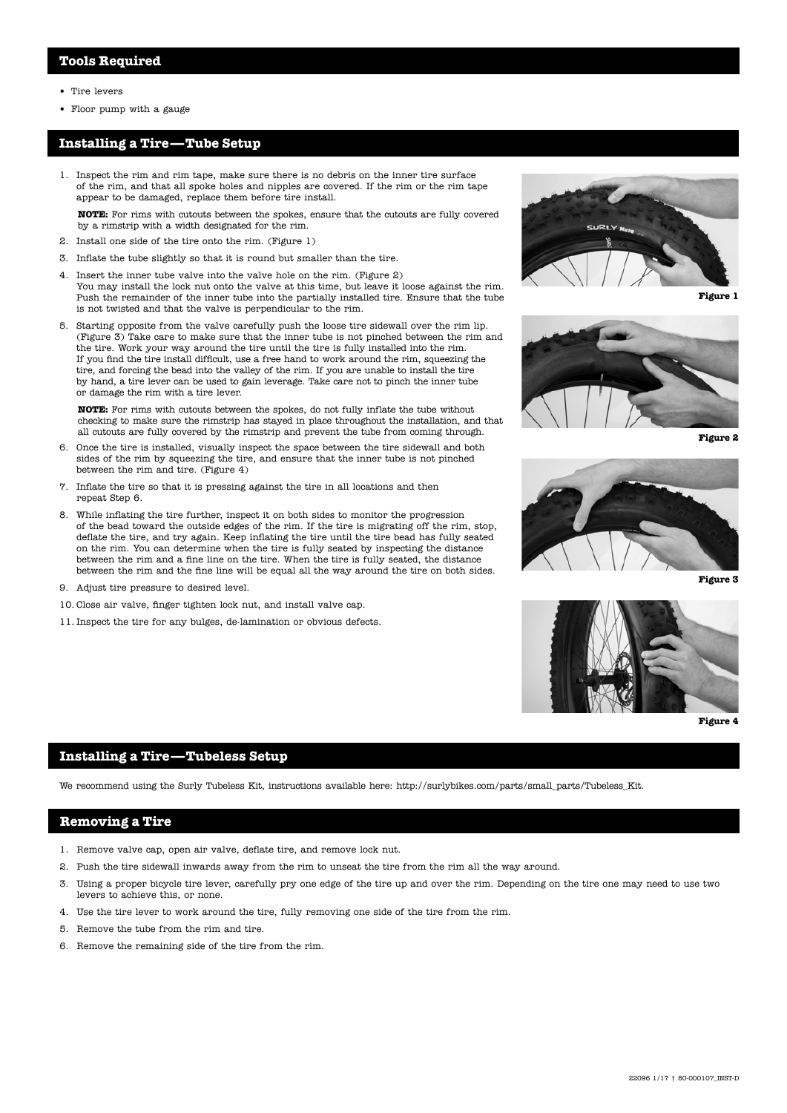- Tire levers
- Floor pump with a gauge

### **Installing a Tire —Tube Setup**

1. Inspect the rim and rim tape, make sure there is no debris on the inner tire surface of the rim, and that all spoke holes and nipples are covered. If the rim or the rim tape appear to be damaged, replace them before tire install.

**NOTE:** For rims with cutouts between the spokes, ensure that the cutouts are fully covered by a rimstrip with a width designated for the rim.

- 2. Install one side of the tire onto the rim. (Figure 1)
- 3. Inflate the tube slightly so that it is round but smaller than the tire.
- 4. Insert the inner tube valve into the valve hole on the rim. (Figure 2) You may install the lock nut onto the valve at this time, but leave it loose against the rim. Push the remainder of the inner tube into the partially installed tire. Ensure that the tube is not twisted and that the valve is perpendicular to the rim.
- 5. Starting opposite from the valve carefully push the loose tire sidewall over the rim lip. (Figure 3) Take care to make sure that the inner tube is not pinched between the rim and the tire. Work your way around the tire until the tire is fully installed into the rim. If you find the tire install difficult, use a free hand to work around the rim, squeezing the tire, and forcing the bead into the valley of the rim. If you are unable to install the tire by hand, a tire lever can be used to gain leverage. Take care not to pinch the inner tube or damage the rim with a tire lever.

**NOTE:** For rims with cutouts between the spokes, do not fully inflate the tube without checking to make sure the rimstrip has stayed in place throughout the installation, and that all cutouts are fully covered by the rimstrip and prevent the tube from coming through.

- 6. Once the tire is installed, visually inspect the space between the tire sidewall and both sides of the rim by squeezing the tire, and ensure that the inner tube is not pinched between the rim and tire. (Figure 4)
- 7. Inflate the tire so that it is pressing against the tire in all locations and then repeat Step 6.
- 8. While inflating the tire further, inspect it on both sides to monitor the progression of the bead toward the outside edges of the rim. If the tire is migrating off the rim, stop, deflate the tire, and try again. Keep inflating the tire until the tire bead has fully seated on the rim. You can determine when the tire is fully seated by inspecting the distance between the rim and a fine line on the tire. When the tire is fully seated, the distance between the rim and the fine line will be equal all the way around the tire on both sides.
- 9. Adjust tire pressure to desired level.
- 10. Close air valve, finger tighten lock nut, and install valve cap.
- 11. Inspect the tire for any bulges, de-lamination or obvious defects.



**Figure 1**



**Figure 2**



**Figure 3**



**Figure 4**

#### **Installing a Tire—Tubeless Setup**

We recommend using the Surly Tubeless Kit, instructions available here: http://surlybikes.com/parts/small\_parts/Tubeless\_Kit.

## **Removing a Tire**

- 1. Remove valve cap, open air valve, deflate tire, and remove lock nut.
- 2. Push the tire sidewall inwards away from the rim to unseat the tire from the rim all the way around.
- 3. Using a proper bicycle tire lever, carefully pry one edge of the tire up and over the rim. Depending on the tire one may need to use two levers to achieve this, or none.
- 4. Use the tire lever to work around the tire, fully removing one side of the tire from the rim.
- 5. Remove the tube from the rim and tire.
- 6. Remove the remaining side of the tire from the rim.